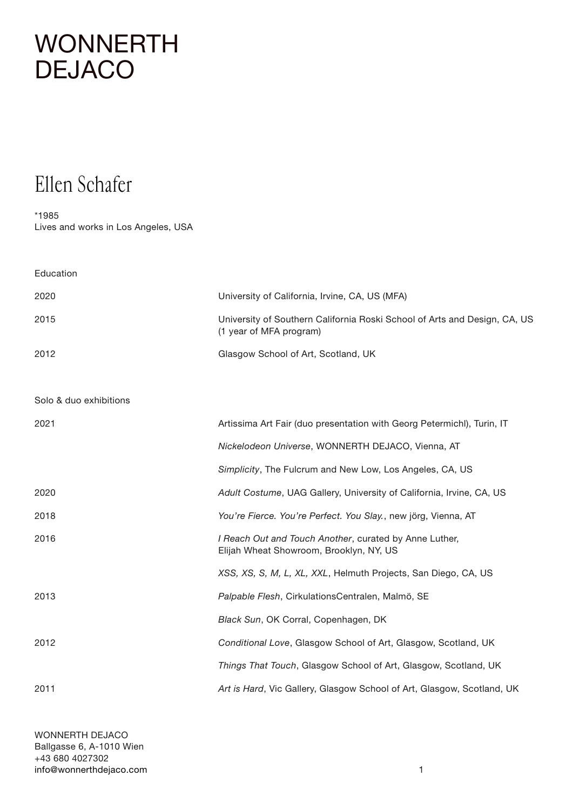## **[WONNERTH](http://www.wonnerthdejaco.com) DEJACO**

## Ellen Schafer

\*1985

Lives and works in Los Angeles, USA

| Education              |                                                                                                      |
|------------------------|------------------------------------------------------------------------------------------------------|
| 2020                   | University of California, Irvine, CA, US (MFA)                                                       |
| 2015                   | University of Southern California Roski School of Arts and Design, CA, US<br>(1 year of MFA program) |
| 2012                   | Glasgow School of Art, Scotland, UK                                                                  |
|                        |                                                                                                      |
| Solo & duo exhibitions |                                                                                                      |
| 2021                   | Artissima Art Fair (duo presentation with Georg Petermichl), Turin, IT                               |
|                        | Nickelodeon Universe, WONNERTH DEJACO, Vienna, AT                                                    |
|                        | Simplicity, The Fulcrum and New Low, Los Angeles, CA, US                                             |
| 2020                   | Adult Costume, UAG Gallery, University of California, Irvine, CA, US                                 |
| 2018                   | You're Fierce. You're Perfect. You Slay., new jörg, Vienna, AT                                       |
| 2016                   | I Reach Out and Touch Another, curated by Anne Luther,<br>Elijah Wheat Showroom, Brooklyn, NY, US    |
|                        | XSS, XS, S, M, L, XL, XXL, Helmuth Projects, San Diego, CA, US                                       |
| 2013                   | Palpable Flesh, CirkulationsCentralen, Malmö, SE                                                     |
|                        | Black Sun, OK Corral, Copenhagen, DK                                                                 |
| 2012                   | Conditional Love, Glasgow School of Art, Glasgow, Scotland, UK                                       |
|                        | Things That Touch, Glasgow School of Art, Glasgow, Scotland, UK                                      |
| 2011                   | Art is Hard, Vic Gallery, Glasgow School of Art, Glasgow, Scotland, UK                               |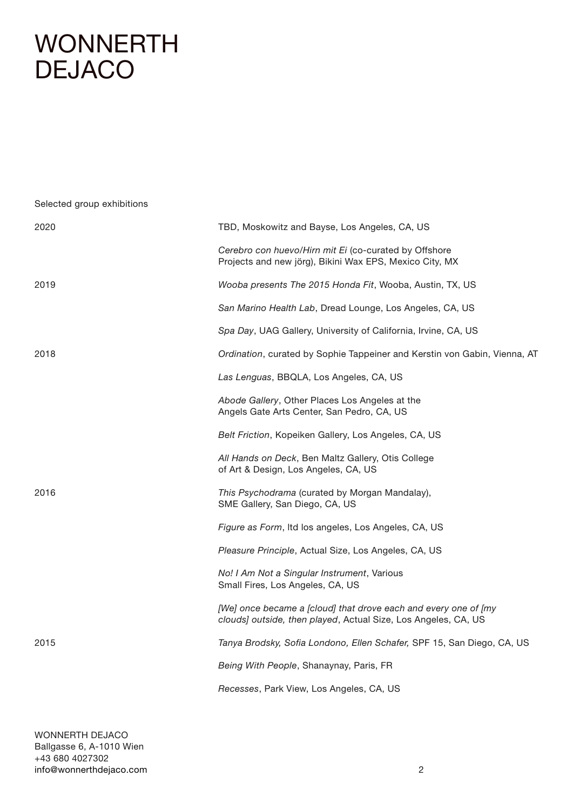## [WONNERTH](http://www.wonnerthdejaco.com) DEJACO

Selected group exhibitions 2020 TBD, Moskowitz and Bayse, Los Angeles, CA, US *Cerebro con huevo/Hirn mit Ei* (co-curated by Offshore Projects and new jörg), Bikini Wax EPS, Mexico City, MX 2019 *Wooba presents The 2015 Honda Fit*, Wooba, Austin, TX, US *San Marino Health Lab*, Dread Lounge, Los Angeles, CA, US *Spa Day*, UAG Gallery, University of California, Irvine, CA, US 2018 *Ordination*, curated by Sophie Tappeiner and Kerstin von Gabin, Vienna, AT *Las Lenguas*, BBQLA, Los Angeles, CA, US *Abode Gallery*, Other Places Los Angeles at the Angels Gate Arts Center, San Pedro, CA, US *Belt Friction*, Kopeiken Gallery, Los Angeles, CA, US *All Hands on Deck*, Ben Maltz Gallery, Otis College of Art & Design, Los Angeles, CA, US 2016 *This Psychodrama* (curated by Morgan Mandalay), SME Gallery, San Diego, CA, US *Figure as Form*, ltd los angeles, Los Angeles, CA, US *Pleasure Principle*, Actual Size, Los Angeles, CA, US *No! I Am Not a Singular Instrument*, Various Small Fires, Los Angeles, CA, US *[We] once became a [cloud] that drove each and every one of [my clouds] outside, then played*, Actual Size, Los Angeles, CA, US 2015 *Tanya Brodsky, Sofia Londono, Ellen Schafer,* SPF 15, San Diego, CA, US *Being With People*, Shanaynay, Paris, FR *Recesses*, Park View, Los Angeles, CA, US